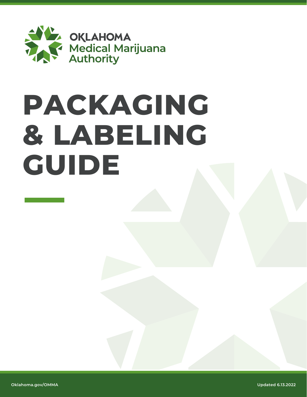

# **PACKAGING & LABELING GUIDE**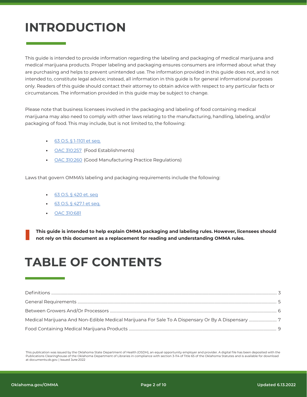## **INTRODUCTION**

This guide is intended to provide information regarding the labeling and packaging of medical marijuana and medical marijuana products. Proper labeling and packaging ensures consumers are informed about what they are purchasing and helps to prevent unintended use. The information provided in this guide does not, and is not intended to, constitute legal advice; instead, all information in this guide is for general informational purposes only. Readers of this guide should contact their attorney to obtain advice with respect to any particular facts or circumstances. The information provided in this guide may be subject to change.

Please note that business licensees involved in the packaging and labeling of food containing medical marijuana may also need to comply with other laws relating to the manufacturing, handling, labeling, and/or packaging of food. This may include, but is not limited to, the following:

- **•** [63 O.S. § 1-1101 et seq.](https://www.ok.gov/health2/documents/63-1-1101.pdf)
- **•** [OAC 310:257](https://www.ok.gov/health2/documents/CPD-OSDH%20257%20FDA2009%20Finalized%208-31-11.pdf) (Food Establishments)
- **•** [OAC 310:260](https://www.ok.gov/health2/documents/Water%20Vending260.pdf) (Good Manufacturing Practice Regulations)

Laws that govern OMMA's labeling and packaging requirements include the following:

- **•** [63 O.S. § 420 et. seq](https://www.oscn.net/applications/oscn/DeliverDocument.asp?CiteID=483199)
- **•** [63 O.S. § 427.1 et seq.](https://www.oscn.net/applications/oscn/DeliverDocument.asp?CiteID=485981)
- **•** [OAC 310:681](https://oklahoma.gov/content/dam/ok/en/omma/docs/rules/rules-table/2021.11.23_OSDH681_OMMARulesChapterAsAmended.pdf)

**This guide is intended to help explain OMMA packaging and labeling rules. However, licensees should not rely on this document as a replacement for reading and understanding OMMA rules.**

### **TABLE OF CONTENTS**

This publication was issued by the Oklahoma State Department of Health (OSDH), an equal opportunity employer and provider. A digital file has been deposited with the Publications Clearinghouse of the Oklahoma Department of Libraries in compliance with section 3-114 of Title 65 of the Oklahoma Statutes and is available for download at documents.ok.gov. | Issued June 2022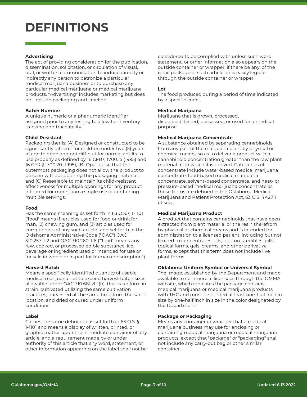### **DEFINITIONS**

#### **Advertising**

The act of providing consideration for the publication, dissemination, solicitation, or circulation of visual, oral, or written communication to induce directly or indirectly any person to patronize a particular medical marijuana business or to purchase any particular medical marijuana or medical marijuana products. "Advertising" includes marketing but does not include packaging and labeling.

#### **Batch Number**

A unique numeric or alphanumeric identifier assigned prior to any testing to allow for inventory tracking and traceability.

#### **Child-Resistant**

Packaging that is: (A) Designed or constructed to be significantly difficult for children under five (5) years of age to open and not difficult for normal adults to use properly as defined by 16 CFR § 1700.15 (1995) and 16 CFR § 1700.20 (1995); (B) Opaque so that the outermost packaging does not allow the product to be seen without opening the packaging material; and (C) Resealable to maintain its child-resistant effectiveness for multiple openings for any product intended for more than a single use or containing multiple servings.

#### **Food**

Has the same meaning as set forth in 63 O.S. § 1-1101 ('food' means (1) articles used for food or drink for man, (2) chewing gum, and (3) articles used for components of any such article) and set forth in the Oklahoma Administrative Code ("OAC") OAC 310:257-1-2 and OAC 310:260-1-6 ("'food' means any raw, cooked, or processed edible substance, ice, beverage or ingredient used or intended for use or for sale in whole or in part for human consumption").

#### **Harvest Batch**

Means a specifically identified quantity of usable medical marijuana not to exceed harvest batch sizes allowable under OAC 310:681-8-1(b), that is uniform in strain, cultivated utilizing the same cultivation practices, harvested at the same time from the same location, and dried or cured under uniform conditions.

#### **Label**

Carries the same definition as set forth in 63 O.S. § 1-1101 and means a display of written, printed, or graphic matter upon the immediate container of any article; and a requirement made by or under authority of this article that any word, statement, or other information appearing on the label shall not be considered to be complied with unless such word, statement, or other information also appears on the outside container or wrapper, if there be any, of the retail package of such article, or is easily legible through the outside container or wrapper.

#### **Lot**

The food produced during a period of time indicated by a specific code.

#### **Medical Marijuana**

Marijuana that is grown, processed, dispensed, tested, possessed, or used for a medical purpose.

#### **Medical Marijuana Concentrate**

A substance obtained by separating cannabinoids from any part of the marijuana plant by physical or chemical means, so as to deliver a product with a cannabinoid concentration greater than the raw plant material from which it is derived. Categories of concentrate include water-based medical marijuana concentrate, food-based medical marijuana concentrate, solvent-based concentrate, and heat- or pressure-based medical marijuana concentrate as those terms are defined in the Oklahoma Medical Marijuana and Patient Protection Act, 63 O.S. § 427.1 et seq.

#### **Medical Marijuana Product**

A product that contains cannabinoids that have been extracted from plant material or the resin therefrom by physical or chemical means and is intended for administration to a licensed patient, including but not limited to concentrates, oils, tinctures, edibles, pills, topical forms, gels, creams, and other derivative forms, except that this term does not include live plant forms.

#### **Oklahoma Uniform Symbol or Universal Symbol**

The image, established by the Department and made available to commercial licensees through the OMMA website, which indicates the package contains medical marijuana or medical marijuana products with THC and must be printed at least one-half inch in size by one-half inch in size in the color designated by the Department.

#### **Package or Packaging**

Means any container or wrapper that a medical marijuana business may use for enclosing or containing medical marijuana or medical marijuana products, except that "package" or "packaging" shall not include any carry-out bag or other similar container.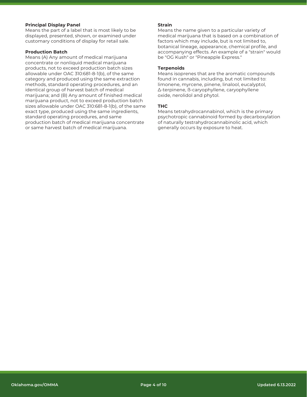#### **Principal Display Panel**

Means the part of a label that is most likely to be displayed, presented, shown, or examined under customary conditions of display for retail sale.

#### **Production Batch**

Means (A) Any amount of medical marijuana concentrate or nonliquid medical marijuana products, not to exceed production batch sizes allowable under OAC 310:681-8-1(b), of the same category and produced using the same extraction methods, standard operating procedures, and an identical group of harvest batch of medical marijuana; and (B) Any amount of finished medical marijuana product, not to exceed production batch sizes allowable under OAC 310:681-8-1(b), of the same exact type, produced using the same ingredients, standard operating procedures, and same production batch of medical marijuana concentrate or same harvest batch of medical marijuana.

#### **Strain**

Means the name given to a particular variety of medical marijuana that is based on a combination of factors which may include, but is not limited to, botanical lineage, appearance, chemical profile, and accompanying effects. An example of a "strain" would be "OG Kush" or "Pineapple Express."

#### **Terpenoids**

Means isoprenes that are the aromatic compounds found in cannabis, including, but not limited to: limonene, myrcene, pinene, linalool, eucalyptol, Δ-terpinene, ß-caryophyllene, caryophyllene oxide, nerolidol and phytol.

#### **THC**

Means tetrahydrocannabinol, which is the primary psychotropic cannabinoid formed by decarboxylation of naturally testrahydrocannabinolic acid, which generally occurs by exposure to heat.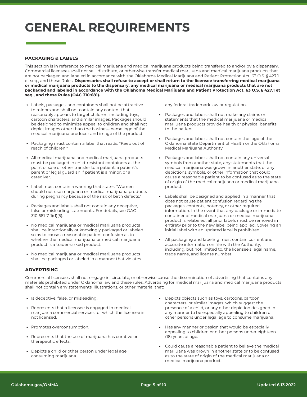### **GENERAL REQUIREMENTS**

#### **PACKAGING & LABELS**

This section is in reference to medical marijuana and medical marijuana products being transfered to and/or by a dispensary. Commercial licensees shall not sell, distribute, or otherwise transfer medical marijuana and medical marijuana products that are not packaged and labeled in accordance with the Oklahoma Medical Marijuana and Patient Protection Act, 63 O.S. § 427.1 et seq., and these Rules. **Dispensaries shall refuse to accept or shall return to the licensee transferring medical marijuana or medical marijuana products to the dispensary, any medical marijuana or medical marijuana products that are not packaged and labeled in accordance with the Oklahoma Medical Marijuana and Patient Protection Act, 63 O.S. § 427.1 et seq., and these Rules (OAC 310:681).**

- Labels, packages, and containers shall not be attractive **•** to minors and shall not contain any content that reasonably appears to target children, including toys, cartoon characters, and similar images. Packages should be designed to minimize appeal to children and shall not depict images other than the business name logo of the medical marijuana producer and image of the product.
- Packaging must contain a label that reads: "Keep out of reach of children." **•**
- All medical marijuana and medical marijuana products **•** must be packaged in child-resistant containers at the point of sale or other transfer to a patient, a patient's parent or legal guardian if patient is a minor, or a caregiver.
- Label must contain a warning that states "Women **•** should not use marijuana or medical marijuana products during pregnancy because of the risk of birth defects."
- Packages and labels shall not contain any deceptive, false or misleading statements. For details, see OAC 310:681-7-1(d)(5). **•**
- No medical marijuana or medical marijuana products **•** shall be intentionally or knowingly packaged or labeled so as to cause a reasonable patient confusion as to whether the medical marijuana or medical marijuana product is a trademarked product.
- No medical marijuana or medical marijuana products shall be packaged or labeled in a manner that violates **•**

any federal trademark law or regulation.

- **•** Packages and labels shall not make any claims or statements that the medical marijuana or medical marijuana products provide health or physical benefits to the patient.
- **•** Packages and labels shall not contain the logo of the Oklahoma State Department of Health or the Oklahoma Medical Marijuana Authority.
- **•** Packages and labels shall not contain any universal symbols from another state, any statements that the medical marijuana was grown in another state, or any depictions, symbols, or other information that could cause a reasonable patient to be confused as to the state of origin of the medical marijuana or medical marijuana product.
- **•** Labels shall be designed and applied in a manner that does not cause patient confusion regarding the package's contents, potency, or other required information. In the event that any package or immediate container of medical marijuana or medical marijuana product is relabeled, all prior labels must be removed in entirety prior to the new label being applied. Covering an initial label with an updated label is prohibited.
- **•** All packaging and labeling must contain current and accurate information on file with the Authority, including, but not limited to, the licensee's legal name, trade name, and license number.

#### **ADVERTISING**

Commercial licensees shall not engage in, circulate, or otherwise cause the dissemination of advertising that contains any materials prohibited under Oklahoma law and these rules. Advertising for medical marijuana and medical marijuana products shall not contain any statements, illustrations, or other material that:

- **•** Is deceptive, false, or misleading.
- Represents that a licensee is engaged in medical **•** marijuana commercial services for which the licensee is not licensed.
- Promotes overconsumption.
- Represents that the use of marijuana has curative or **•** therapeutic effects.
- Depicts a child or other person under legal age **•** consuming marijuana.
- Depicts objects such as toys, cartoons, cartoon **•** characters, or similar images, which suggest the presence of a child, or any other depiction designed in any manner to be especially appealing to children or other persons under legal age to consume marijuana.
- Has any manner or design that would be especially appealing to children or other persons under eighteen (18) years of age. **•**
- Could cause a reasonable patient to believe the medical **•** marijuana was grown in another state or to be confused as to the state of origin of the medical marijuana or medical marijuana product.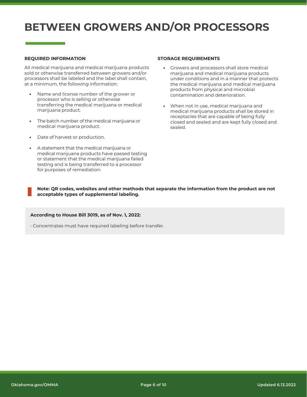### **BETWEEN GROWERS AND/OR PROCESSORS**

#### **REQUIRED INFORMATION**

All medical marijuana and medical marijuana products sold or otherwise transferred between growers and/or processors shall be labeled and the label shall contain, at a minimum, the following information:

- Name and license number of the grower or processor who is selling or otherwise transferring the medical marijuana or medical marijuana product. **•**
- The batch number of the medical marijuana or medical marijuana product. **•**
- Date of harvest or production. **•**
- A statement that the medical marijuana or **•** medical marijuana products have passed testing or statement that the medical marijuana failed testing and is being transferred to a processor for purposes of remediation.

#### **STORAGE REQUIREMENTS**

- **•** Growers and processors shall store medical marijuana and medical marijuana products under conditions and in a manner that protects the medical marijuana and medical marijuana products from physical and microbial contamination and deterioration.
- **•** When not in use, medical marijuana and medical marijuana products shall be stored in receptacles that are capable of being fully closed and sealed and are kept fully closed and sealed.

**Note: QR codes, websites and other methods that separate the information from the product are not acceptable types of supplemental labeling.**

#### **According to House Bill 3019, as of Nov. 1, 2022:**

• Concentrates must have required labeling before transfer.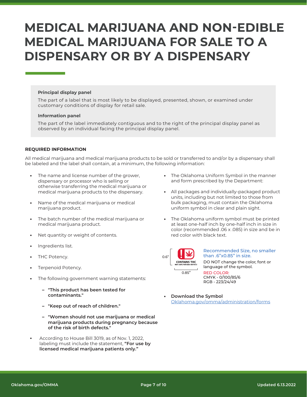### **MEDICAL MARIJUANA AND NON-EDIBLE MEDICAL MARIJUANA FOR SALE TO A DISPENSARY OR BY A DISPENSARY**

#### **Principal display panel**

The part of a label that is most likely to be displayed, presented, shown, or examined under customary conditions of display for retail sale.

#### **Information panel**

The part of the label immediately contiguous and to the right of the principal display panel as observed by an individual facing the principal display panel.

#### **REQUIRED INFORMATION**

All medical marijuana and medical marijuana products to be sold or transferred to and/or by a dispensary shall be labeled and the label shall contain, at a minimum, the following information:

- The name and license number of the grower, dispensary or processor who is selling or otherwise transferring the medical marijuana or medical marijuana products to the dispensary. **•**
- Name of the medical marijuana or medical marijuana product. **•**
- The batch number of the medical marijuana or medical marijuana product. **•**
- Net quantity or weight of contents. **•**
- Ingredients list. **•**
- THC Potency. **•**
- Terpenoid Potency. **•**
- The following government warning statements: **•**
	- **"This product has been tested for – contaminants."**
	- **"Keep out of reach of children." –**
	- **"Women should not use marijuana or medical – marijuana products during pregnancy because of the risk of birth defects."**
- **•** According to House Bill 3019, as of Nov. 1, 2022, labeling must include the statement, **"For use by licensed medical marijuana patients only."**
- **•** The Oklahoma Uniform Symbol in the manner and form prescribed by the Department:
- **•** All packages and individually-packaged product units, including but not limited to those from bulk packaging, must contain the Oklahoma uniform symbol in clear and plain sight.
- **•** The Oklahoma uniform symbol must be printed at least one-half inch by one-half inch in size in color (recommended .06 x .085) in size and be in red color with black text.



#### Recommended Size, no smaller than .6"x0.85" in size.

DO NOT change the color, font or language of the symbol.

RED COLOR: CMYK - 0/100/85/6 RGB - 223/24/49

**• Download the Symbol**  [Oklahoma.gov/omma/administration/forms](https://oklahoma.gov/omma/administration/forms.html)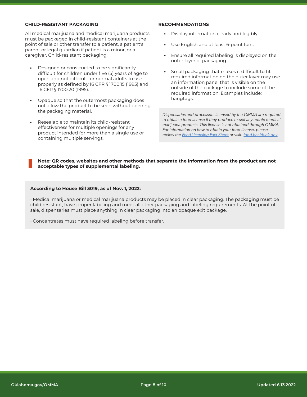#### **CHILD-RESISTANT PACKAGING**

All medical marijuana and medical marijuana products must be packaged in child-resistant containers at the point of sale or other transfer to a patient, a patient's parent or legal guardian if patient is a minor, or a caregiver. Child-resistant packaging:

- Designed or constructed to be significantly difficult for children under five (5) years of age to open and not difficult for normal adults to use properly as defined by 16 CFR § 1700.15 (1995) and 16 CFR § 1700.20 (1995). **•**
- Opaque so that the outermost packaging does **•** not allow the product to be seen without opening the packaging material.
- Resealable to maintain its child-resistant effectiveness for multiple openings for any product intended for more than a single use or containing multiple servings. **•**

#### **RECOMMENDATIONS**

- **•** Display information clearly and legibly.
- **•** Use English and at least 6-point font.
- **•** Ensure all required labeling is displayed on the outer layer of packaging.
- **•** Small packaging that makes it difficult to fit required information on the outer layer may use an information panel that is visible on the outside of the package to include some of the required information. Examples include: hangtags.

*Dispensaries and processors licensed by the OMMA are required to obtain a food license if they produce or sell any edible medical marijuana products. This license is not obtained through OMMA. For information on how to obtain your food license, please review the Food [Licensing](https://www.ok.gov/health2/documents/19077OMMA%20-%20Food%20License%20Fact%20Sheet.pdf) Fact Sheet or visit: [food.health.ok.gov.](https://www.ok.gov/health/Protective_Health/Consumer_Health_Service/Foods/)*

#### **Note: QR codes, websites and other methods that separate the information from the product are not acceptable types of supplemental labeling.**

#### **According to House Bill 3019, as of Nov. 1, 2022:**

• Medical marijuana or medical marijuana products may be placed in clear packaging. The packaging must be child resistant, have proper labeling and meet all other packaging and labeling requirements. At the point of sale, dispensaries must place anything in clear packaging into an opaque exit package.

• Concentrates must have required labeling before transfer.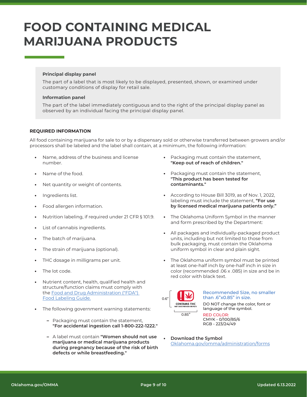## **FOOD CONTAINING MEDICAL MARIJUANA PRODUCTS**

#### **Principal display panel**

The part of a label that is most likely to be displayed, presented, shown, or examined under customary conditions of display for retail sale.

#### **Information panel**

The part of the label immediately contiguous and to the right of the principal display panel as observed by an individual facing the principal display panel.

#### **REQUIRED INFORMATION**

All food containing marijuana for sale to or by a dispensary sold or otherwise transferred between growers and/or processors shall be labeled and the label shall contain, at a minimum, the following information:

- Name, address of the business and license number. **•**
- Name of the food. **•**
- Net quantity or weight of contents. **•**
- Ingredients list. **•**
- Food allergen information. **•**
- Nutrition labeling, if required under 21 CFR § 101.9. **•**
- List of cannabis ingredients. **•**
- The batch of marijuana. **•**
- The strain of marijuana (optional). **•**
- THC dosage in milligrams per unit. **•**
- The lot code. **•**
- Nutrient content, health, qualified health and structure/function claims must comply with the [Food and Drug Administration \("FDA"\)](https://www.fda.gov/media/81606/download)  [Food Labeling Guide.](https://www.fda.gov/media/81606/download) **•**
- The following government warning statements: **•**
	- Packaging must contain the statement, **– "For accidental ingestion call 1-800-222-1222."**
	- A label must contain **"Women should not use – marijuana or medical marijuana products during pregnancy because of the risk of birth defects or while breastfeeding."**
- **•** Packaging must contain the statement, **"Keep out of reach of children."**
- **•** Packaging must contain the statement, **"This product has been tested for contaminants."**
- **•** According to House Bill 3019, as of Nov. 1, 2022, labeling must include the statement, **"For use by licensed medical marijuana patients only."**
- **•** The Oklahoma Uniform Symbol in the manner and form prescribed by the Department:
- **•** All packages and individually-packaged product units, including but not limited to those from bulk packaging, must contain the Oklahoma uniform symbol in clear and plain sight.
- **•** The Oklahoma uniform symbol must be printed at least one-half inch by one-half inch in size in color (recommended .06 x .085) in size and be in red color with black text.



#### Recommended Size, no smaller than .6"x0.85" in size.

DO NOT change the color, font or language of the symbol.

RED COLOR: CMYK - 0/100/85/6 RGB - 223/24/49

**• Download the Symbol**  [Oklahoma.gov/omma/administration/forms](https://oklahoma.gov/omma/administration/forms.html)